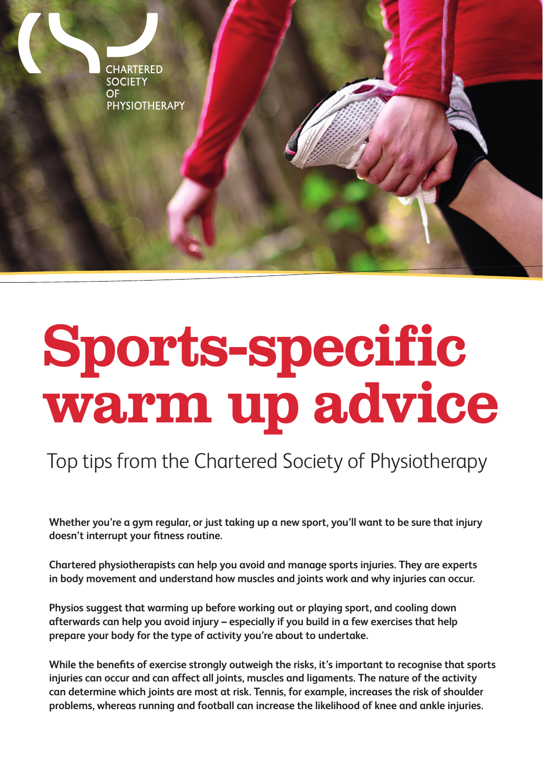**CHARTERED SOCIETY**  $OF$ **PHYSIOTHERAPY** 

# **Sports-specific warm up advice**

# Top tips from the Chartered Society of Physiotherapy

**Whether you're a gym regular, or just taking up a new sport, you'll want to be sure that injury doesn't interrupt your fitness routine.**

**Chartered physiotherapists can help you avoid and manage sports injuries. They are experts in body movement and understand how muscles and joints work and why injuries can occur.**

**Physios suggest that warming up before working out or playing sport, and cooling down afterwards can help you avoid injury – especially if you build in a few exercises that help prepare your body for the type of activity you're about to undertake.** 

**While the benefits of exercise strongly outweigh the risks, it's important to recognise that sports injuries can occur and can affect all joints, muscles and ligaments. The nature of the activity can determine which joints are most at risk. Tennis, for example, increases the risk of shoulder problems, whereas running and football can increase the likelihood of knee and ankle injuries.**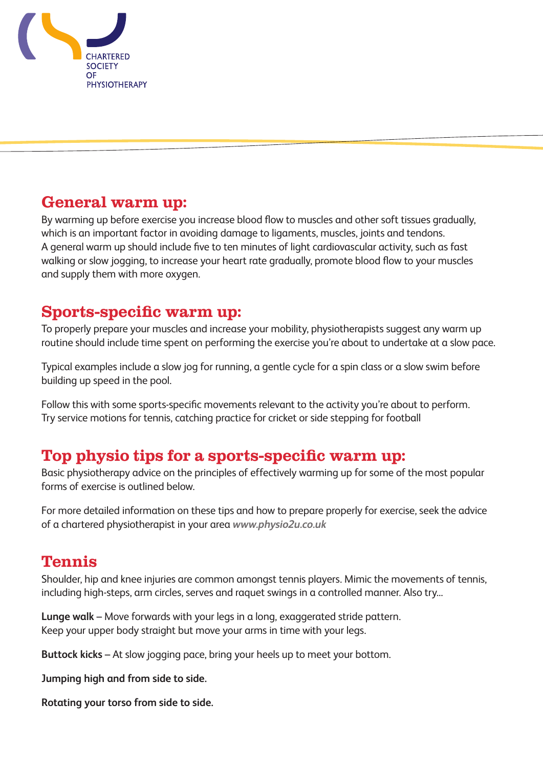

#### **General warm up:**

By warming up before exercise you increase blood flow to muscles and other soft tissues gradually, which is an important factor in avoiding damage to ligaments, muscles, joints and tendons. A general warm up should include five to ten minutes of light cardiovascular activity, such as fast walking or slow jogging, to increase your heart rate gradually, promote blood flow to your muscles and supply them with more oxygen.

#### **Sports-specific warm up:**

To properly prepare your muscles and increase your mobility, physiotherapists suggest any warm up routine should include time spent on performing the exercise you're about to undertake at a slow pace.

Typical examples include a slow jog for running, a gentle cycle for a spin class or a slow swim before building up speed in the pool.

Follow this with some sports-specific movements relevant to the activity you're about to perform. Try service motions for tennis, catching practice for cricket or side stepping for football

#### **Top physio tips for a sports-specific warm up:**

Basic physiotherapy advice on the principles of effectively warming up for some of the most popular forms of exercise is outlined below.

For more detailed information on these tips and how to prepare properly for exercise, seek the advice of a chartered physiotherapist in your area *www.physio2u.co.uk* 

#### **Tennis**

Shoulder, hip and knee injuries are common amongst tennis players. Mimic the movements of tennis, including high-steps, arm circles, serves and raquet swings in a controlled manner. Also try...

**Lunge walk** – Move forwards with your legs in a long, exaggerated stride pattern. Keep your upper body straight but move your arms in time with your legs.

**Buttock kicks** – At slow jogging pace, bring your heels up to meet your bottom.

**Jumping high and from side to side.**

**Rotating your torso from side to side.**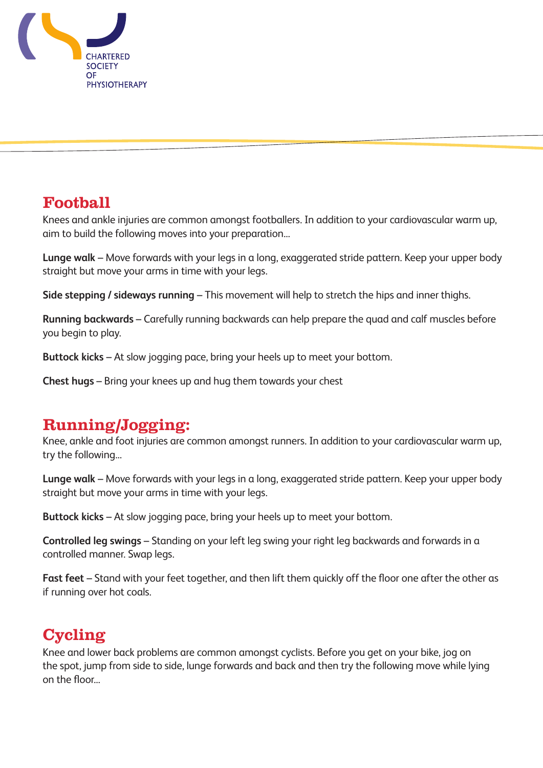

#### **Football**

Knees and ankle injuries are common amongst footballers. In addition to your cardiovascular warm up, aim to build the following moves into your preparation...

**Lunge walk** – Move forwards with your legs in a long, exaggerated stride pattern. Keep your upper body straight but move your arms in time with your legs.

**Side stepping / sideways running** – This movement will help to stretch the hips and inner thighs.

**Running backwards** – Carefully running backwards can help prepare the quad and calf muscles before you begin to play.

**Buttock kicks** – At slow jogging pace, bring your heels up to meet your bottom.

**Chest hugs** – Bring your knees up and hug them towards your chest

#### **Running/Jogging:**

Knee, ankle and foot injuries are common amongst runners. In addition to your cardiovascular warm up, try the following...

**Lunge walk** – Move forwards with your legs in a long, exaggerated stride pattern. Keep your upper body straight but move your arms in time with your legs.

**Buttock kicks** – At slow jogging pace, bring your heels up to meet your bottom.

**Controlled leg swings** – Standing on your left leg swing your right leg backwards and forwards in a controlled manner. Swap legs.

**Fast feet** – Stand with your feet together, and then lift them quickly off the floor one after the other as if running over hot coals.

### **Cycling**

Knee and lower back problems are common amongst cyclists. Before you get on your bike, jog on the spot, jump from side to side, lunge forwards and back and then try the following move while lying on the floor...